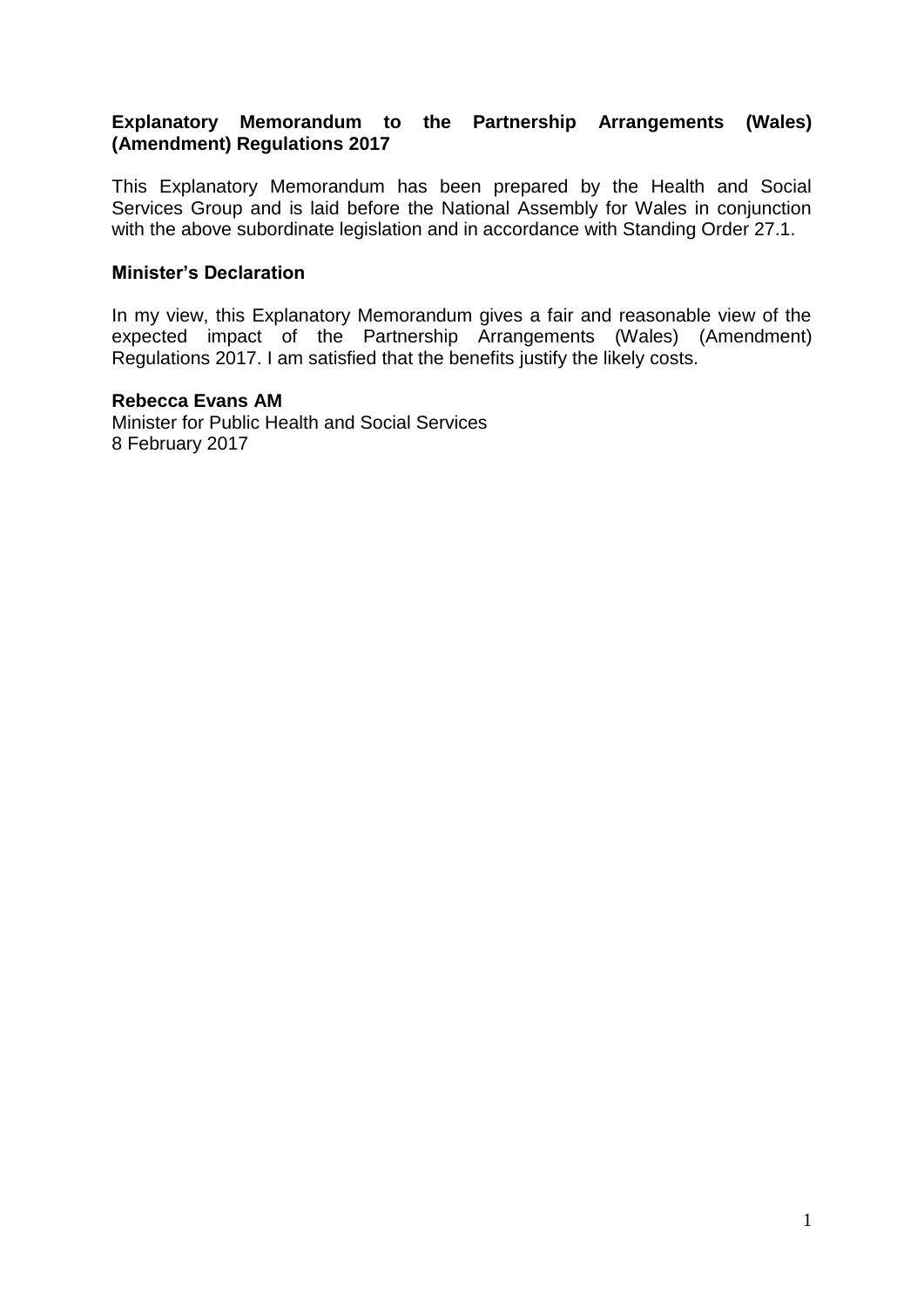# **Explanatory Memorandum to the Partnership Arrangements (Wales) (Amendment) Regulations 2017**

This Explanatory Memorandum has been prepared by the Health and Social Services Group and is laid before the National Assembly for Wales in conjunction with the above subordinate legislation and in accordance with Standing Order 27.1.

#### **Minister's Declaration**

In my view, this Explanatory Memorandum gives a fair and reasonable view of the expected impact of the Partnership Arrangements (Wales) (Amendment) Regulations 2017. I am satisfied that the benefits justify the likely costs.

#### **Rebecca Evans AM**

Minister for Public Health and Social Services 8 February 2017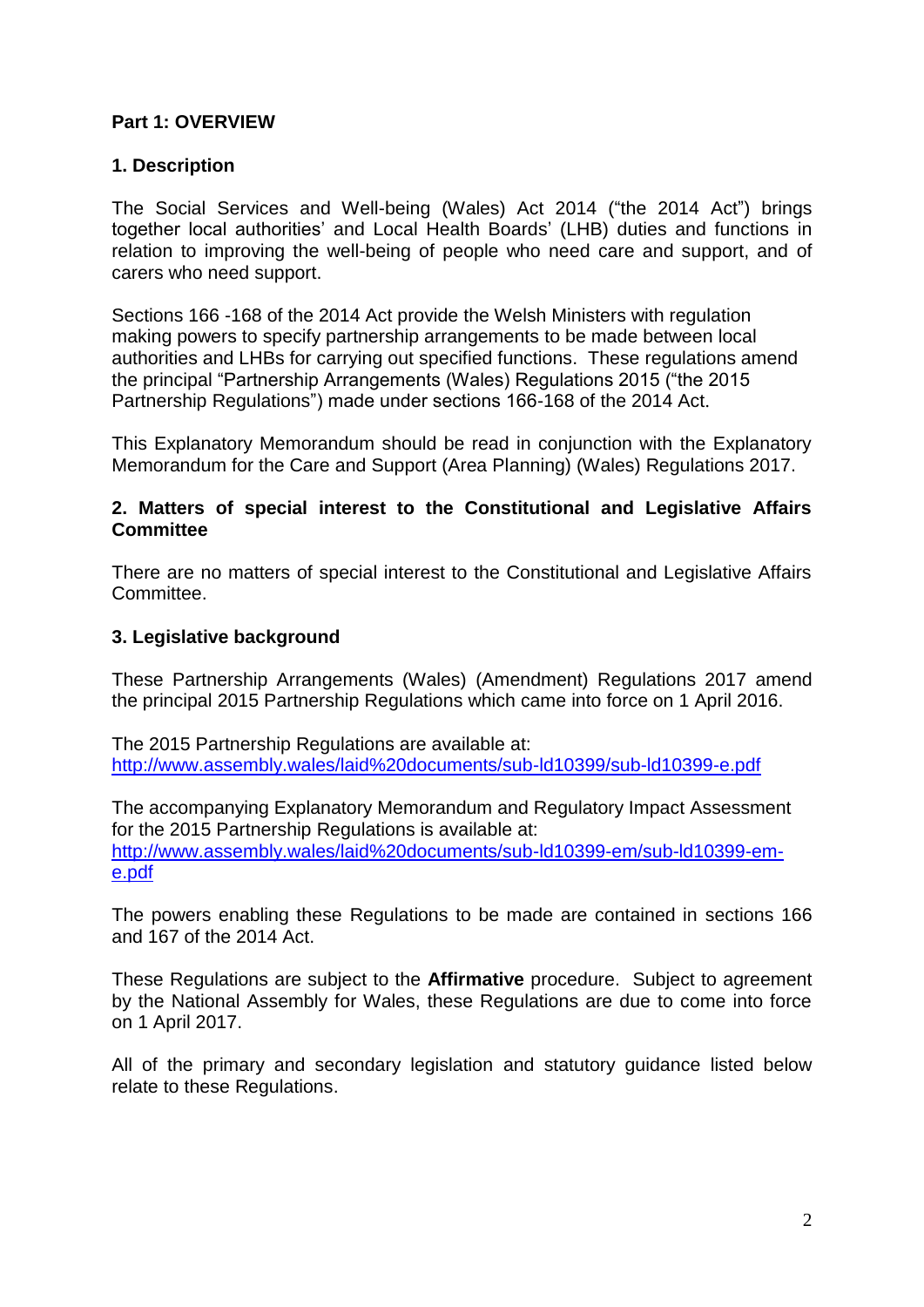# **Part 1: OVERVIEW**

# **1. Description**

The Social Services and Well-being (Wales) Act 2014 ("the 2014 Act") brings together local authorities' and Local Health Boards' (LHB) duties and functions in relation to improving the well-being of people who need care and support, and of carers who need support.

Sections 166 -168 of the 2014 Act provide the Welsh Ministers with regulation making powers to specify partnership arrangements to be made between local authorities and LHBs for carrying out specified functions. These regulations amend the principal "Partnership Arrangements (Wales) Regulations 2015 ("the 2015 Partnership Regulations") made under sections 166-168 of the 2014 Act.

This Explanatory Memorandum should be read in conjunction with the Explanatory Memorandum for the Care and Support (Area Planning) (Wales) Regulations 2017.

# **2. Matters of special interest to the Constitutional and Legislative Affairs Committee**

There are no matters of special interest to the Constitutional and Legislative Affairs Committee.

# **3. Legislative background**

These Partnership Arrangements (Wales) (Amendment) Regulations 2017 amend the principal 2015 Partnership Regulations which came into force on 1 April 2016.

The 2015 Partnership Regulations are available at: <http://www.assembly.wales/laid%20documents/sub-ld10399/sub-ld10399-e.pdf>

The accompanying Explanatory Memorandum and Regulatory Impact Assessment for the 2015 Partnership Regulations is available at: [http://www.assembly.wales/laid%20documents/sub-ld10399-em/sub-ld10399-em](http://www.assembly.wales/laid%20documents/sub-ld10399-em/sub-ld10399-em-e.pdf)[e.pdf](http://www.assembly.wales/laid%20documents/sub-ld10399-em/sub-ld10399-em-e.pdf) 

The powers enabling these Regulations to be made are contained in sections 166 and 167 of the 2014 Act.

These Regulations are subject to the **Affirmative** procedure. Subject to agreement by the National Assembly for Wales, these Regulations are due to come into force on 1 April 2017.

All of the primary and secondary legislation and statutory guidance listed below relate to these Regulations.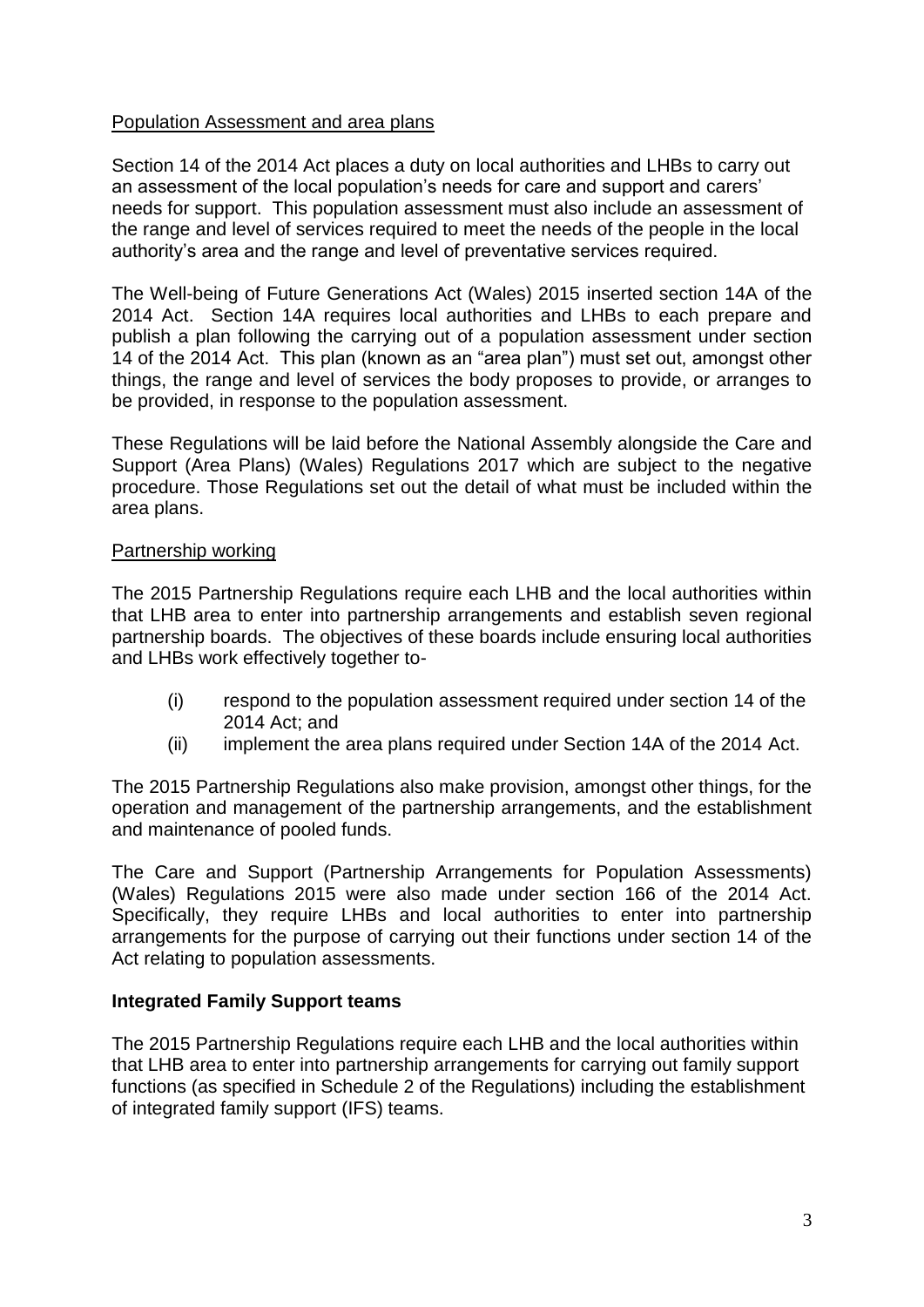# Population Assessment and area plans

Section 14 of the 2014 Act places a duty on local authorities and LHBs to carry out an assessment of the local population's needs for care and support and carers' needs for support. This population assessment must also include an assessment of the range and level of services required to meet the needs of the people in the local authority's area and the range and level of preventative services required.

The Well-being of Future Generations Act (Wales) 2015 inserted section 14A of the 2014 Act. Section 14A requires local authorities and LHBs to each prepare and publish a plan following the carrying out of a population assessment under section 14 of the 2014 Act. This plan (known as an "area plan") must set out, amongst other things, the range and level of services the body proposes to provide, or arranges to be provided, in response to the population assessment.

These Regulations will be laid before the National Assembly alongside the Care and Support (Area Plans) (Wales) Regulations 2017 which are subject to the negative procedure. Those Regulations set out the detail of what must be included within the area plans.

# Partnership working

The 2015 Partnership Regulations require each LHB and the local authorities within that LHB area to enter into partnership arrangements and establish seven regional partnership boards. The objectives of these boards include ensuring local authorities and LHBs work effectively together to-

- (i) respond to the population assessment required under section 14 of the 2014 Act; and
- (ii) implement the area plans required under Section 14A of the 2014 Act.

The 2015 Partnership Regulations also make provision, amongst other things, for the operation and management of the partnership arrangements, and the establishment and maintenance of pooled funds.

The Care and Support (Partnership Arrangements for Population Assessments) (Wales) Regulations 2015 were also made under section 166 of the 2014 Act. Specifically, they require LHBs and local authorities to enter into partnership arrangements for the purpose of carrying out their functions under section 14 of the Act relating to population assessments.

# **Integrated Family Support teams**

The 2015 Partnership Regulations require each LHB and the local authorities within that LHB area to enter into partnership arrangements for carrying out family support functions (as specified in Schedule 2 of the Regulations) including the establishment of integrated family support (IFS) teams.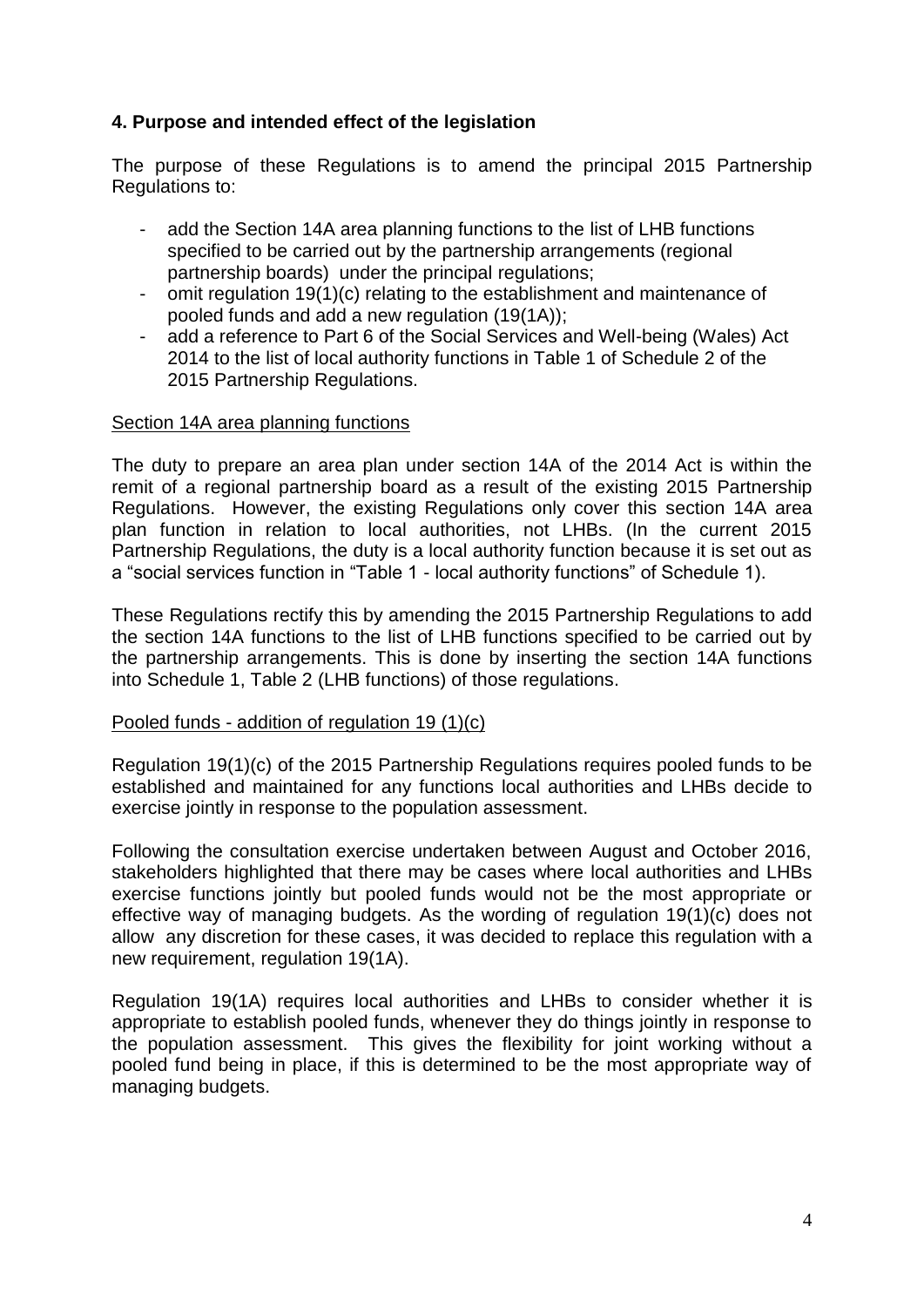# **4. Purpose and intended effect of the legislation**

The purpose of these Regulations is to amend the principal 2015 Partnership Regulations to:

- add the Section 14A area planning functions to the list of LHB functions specified to be carried out by the partnership arrangements (regional partnership boards) under the principal regulations;
- omit regulation 19(1)(c) relating to the establishment and maintenance of pooled funds and add a new regulation (19(1A));
- add a reference to Part 6 of the Social Services and Well-being (Wales) Act 2014 to the list of local authority functions in Table 1 of Schedule 2 of the 2015 Partnership Regulations.

# Section 14A area planning functions

The duty to prepare an area plan under section 14A of the 2014 Act is within the remit of a regional partnership board as a result of the existing 2015 Partnership Regulations. However, the existing Regulations only cover this section 14A area plan function in relation to local authorities, not LHBs. (In the current 2015 Partnership Regulations, the duty is a local authority function because it is set out as a "social services function in "Table 1 - local authority functions" of Schedule 1).

These Regulations rectify this by amending the 2015 Partnership Regulations to add the section 14A functions to the list of LHB functions specified to be carried out by the partnership arrangements. This is done by inserting the section 14A functions into Schedule 1, Table 2 (LHB functions) of those regulations.

#### Pooled funds - addition of regulation 19 (1)(c)

Regulation 19(1)(c) of the 2015 Partnership Regulations requires pooled funds to be established and maintained for any functions local authorities and LHBs decide to exercise jointly in response to the population assessment.

Following the consultation exercise undertaken between August and October 2016, stakeholders highlighted that there may be cases where local authorities and LHBs exercise functions jointly but pooled funds would not be the most appropriate or effective way of managing budgets. As the wording of regulation 19(1)(c) does not allow any discretion for these cases, it was decided to replace this regulation with a new requirement, regulation 19(1A).

Regulation 19(1A) requires local authorities and LHBs to consider whether it is appropriate to establish pooled funds, whenever they do things jointly in response to the population assessment. This gives the flexibility for joint working without a pooled fund being in place, if this is determined to be the most appropriate way of managing budgets.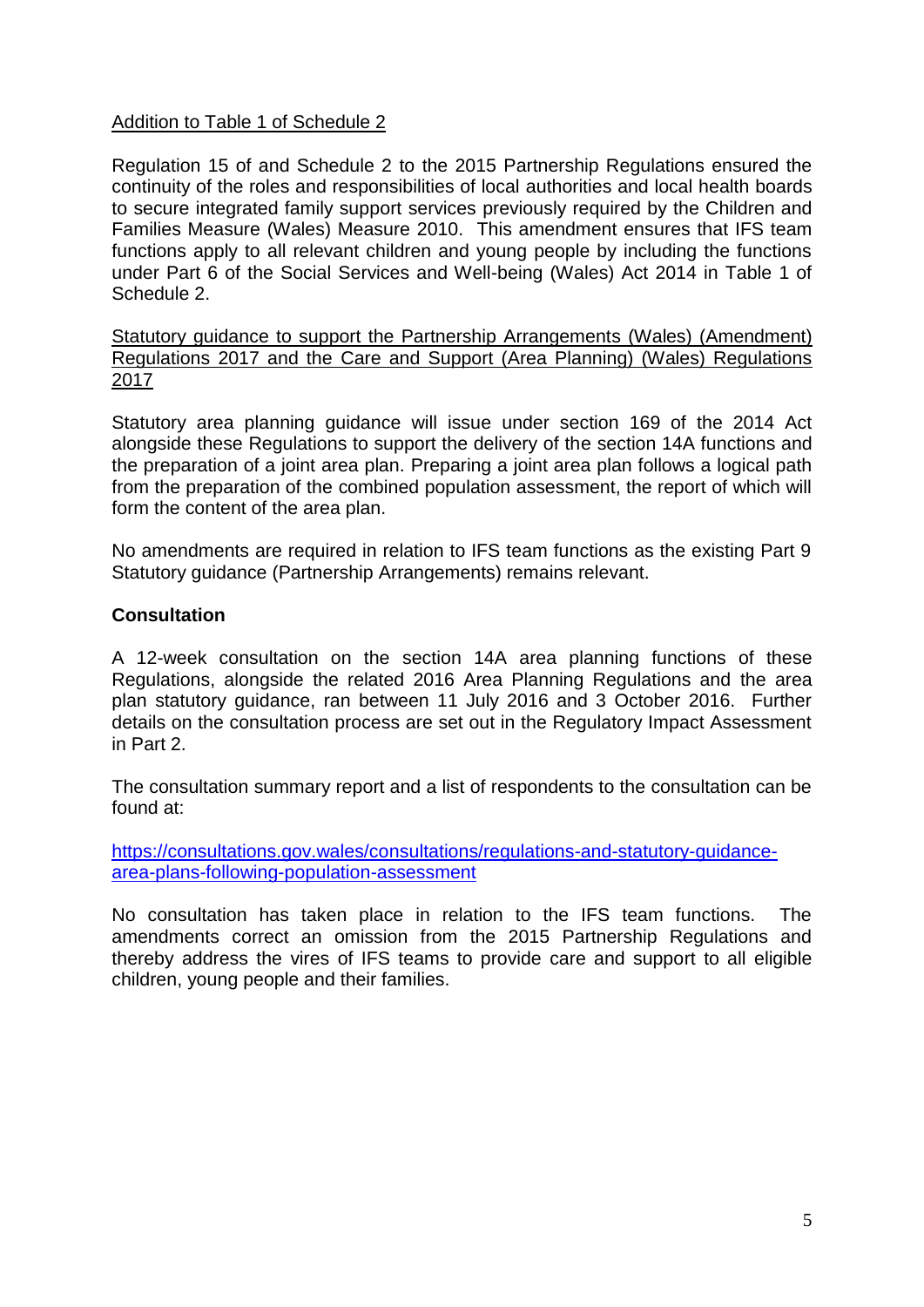# Addition to Table 1 of Schedule 2

Regulation 15 of and Schedule 2 to the 2015 Partnership Regulations ensured the continuity of the roles and responsibilities of local authorities and local health boards to secure integrated family support services previously required by the Children and Families Measure (Wales) Measure 2010. This amendment ensures that IFS team functions apply to all relevant children and young people by including the functions under Part 6 of the Social Services and Well-being (Wales) Act 2014 in Table 1 of Schedule 2.

Statutory guidance to support the Partnership Arrangements (Wales) (Amendment) Regulations 2017 and the Care and Support (Area Planning) (Wales) Regulations 2017

Statutory area planning guidance will issue under section 169 of the 2014 Act alongside these Regulations to support the delivery of the section 14A functions and the preparation of a joint area plan. Preparing a joint area plan follows a logical path from the preparation of the combined population assessment, the report of which will form the content of the area plan.

No amendments are required in relation to IFS team functions as the existing Part 9 Statutory guidance (Partnership Arrangements) remains relevant.

# **Consultation**

A 12-week consultation on the section 14A area planning functions of these Regulations, alongside the related 2016 Area Planning Regulations and the area plan statutory guidance, ran between 11 July 2016 and 3 October 2016. Further details on the consultation process are set out in the Regulatory Impact Assessment in Part 2.

The consultation summary report and a list of respondents to the consultation can be found at:

[https://consultations.gov.wales/consultations/regulations-and-statutory-guidance](https://consultations.gov.wales/consultations/regulations-and-statutory-guidance-area-plans-following-population-assessment)[area-plans-following-population-assessment](https://consultations.gov.wales/consultations/regulations-and-statutory-guidance-area-plans-following-population-assessment)

No consultation has taken place in relation to the IFS team functions. The amendments correct an omission from the 2015 Partnership Regulations and thereby address the vires of IFS teams to provide care and support to all eligible children, young people and their families.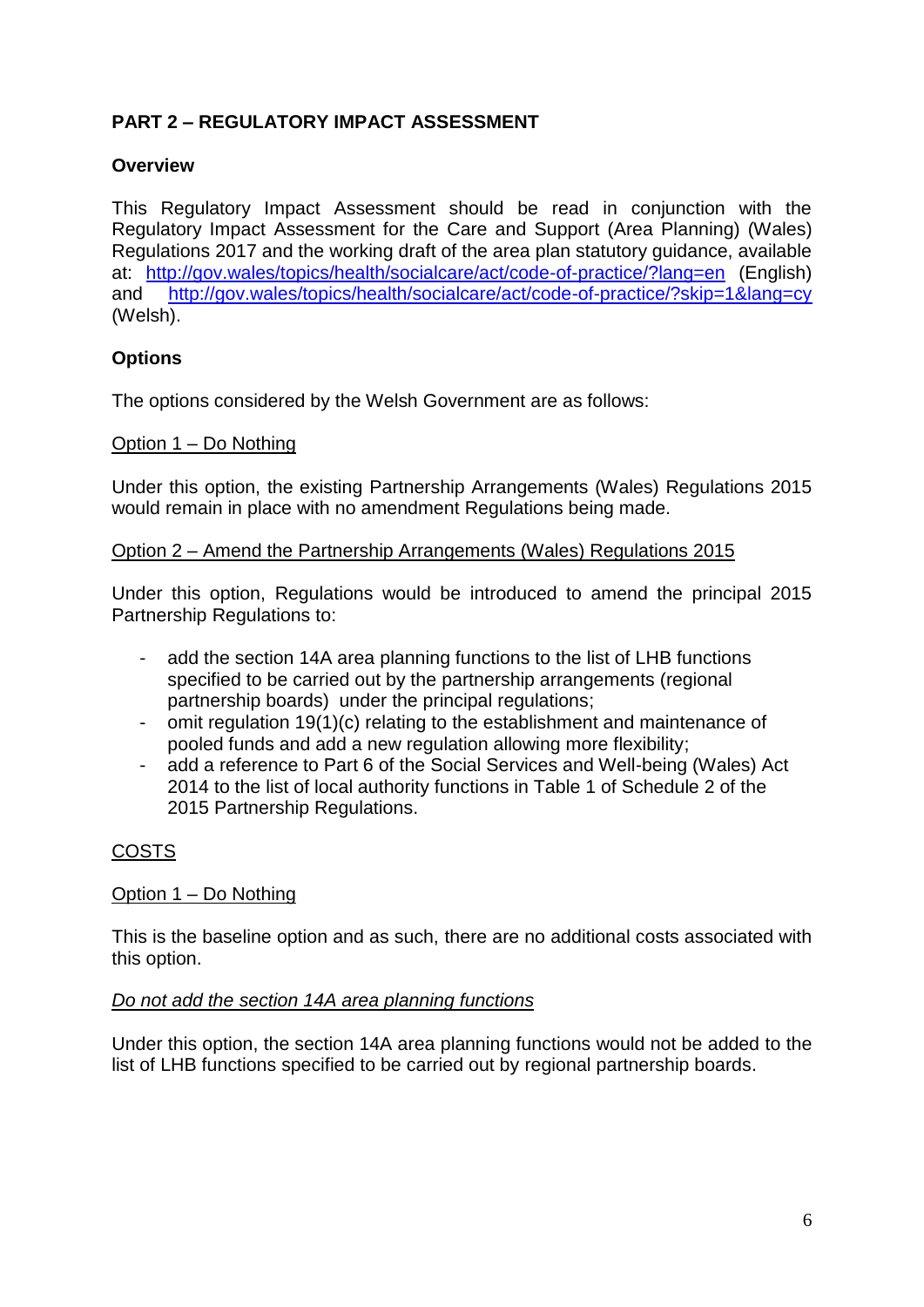# **PART 2 – REGULATORY IMPACT ASSESSMENT**

# **Overview**

This Regulatory Impact Assessment should be read in conjunction with the Regulatory Impact Assessment for the Care and Support (Area Planning) (Wales) Regulations 2017 and the working draft of the area plan statutory guidance, available at: <http://gov.wales/topics/health/socialcare/act/code-of-practice/?lang=en> (English) and <http://gov.wales/topics/health/socialcare/act/code-of-practice/?skip=1&lang=cy> (Welsh).

# **Options**

The options considered by the Welsh Government are as follows:

# Option 1 – Do Nothing

Under this option, the existing Partnership Arrangements (Wales) Regulations 2015 would remain in place with no amendment Regulations being made.

#### Option 2 – Amend the Partnership Arrangements (Wales) Regulations 2015

Under this option, Regulations would be introduced to amend the principal 2015 Partnership Regulations to:

- add the section 14A area planning functions to the list of LHB functions specified to be carried out by the partnership arrangements (regional partnership boards) under the principal regulations;
- omit regulation 19(1)(c) relating to the establishment and maintenance of pooled funds and add a new regulation allowing more flexibility;
- add a reference to Part 6 of the Social Services and Well-being (Wales) Act 2014 to the list of local authority functions in Table 1 of Schedule 2 of the 2015 Partnership Regulations.

# COSTS

# Option 1 – Do Nothing

This is the baseline option and as such, there are no additional costs associated with this option.

# *Do not add the section 14A area planning functions*

Under this option, the section 14A area planning functions would not be added to the list of LHB functions specified to be carried out by regional partnership boards.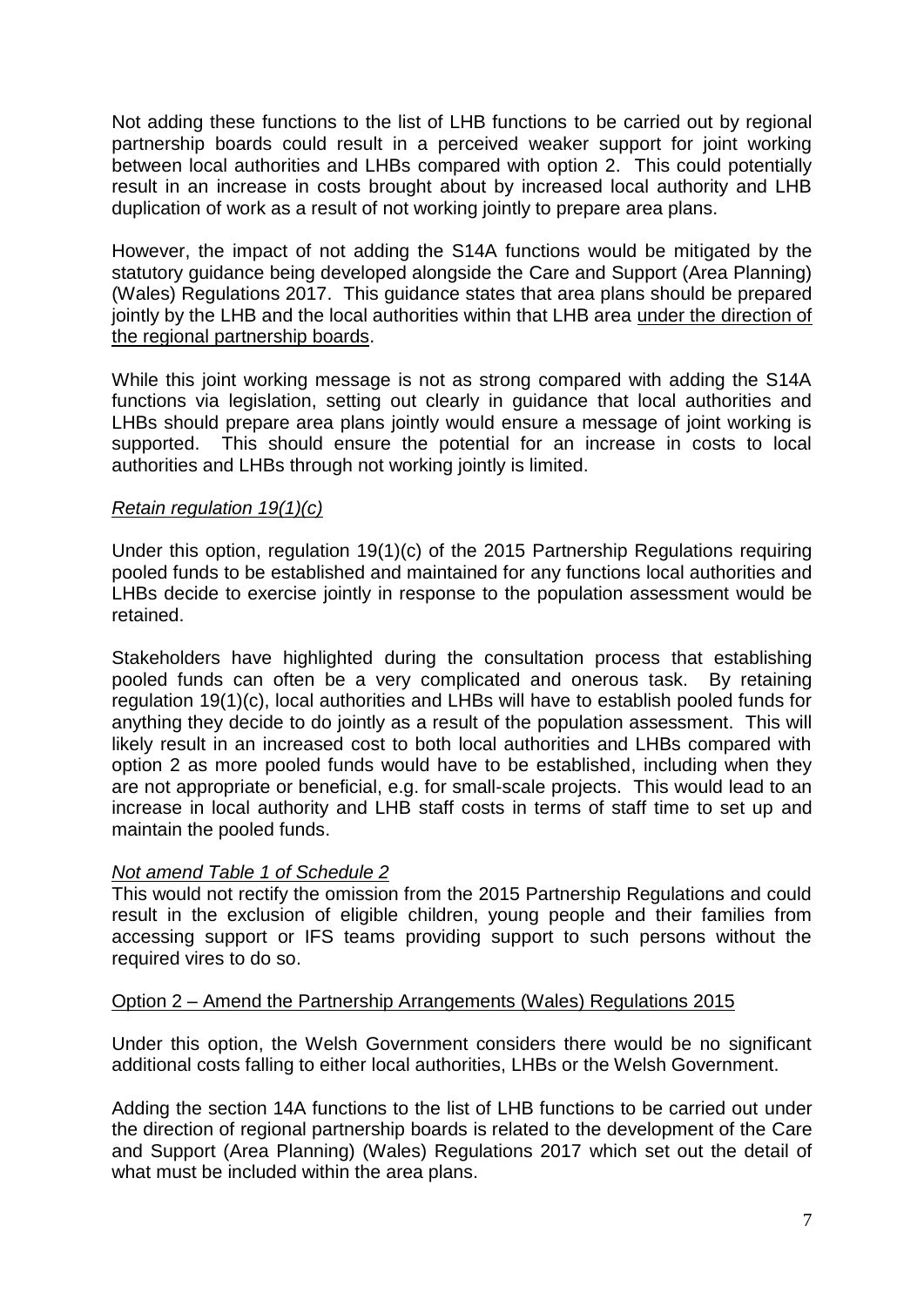Not adding these functions to the list of LHB functions to be carried out by regional partnership boards could result in a perceived weaker support for joint working between local authorities and LHBs compared with option 2. This could potentially result in an increase in costs brought about by increased local authority and LHB duplication of work as a result of not working jointly to prepare area plans.

However, the impact of not adding the S14A functions would be mitigated by the statutory guidance being developed alongside the Care and Support (Area Planning) (Wales) Regulations 2017. This guidance states that area plans should be prepared jointly by the LHB and the local authorities within that LHB area under the direction of the regional partnership boards.

While this joint working message is not as strong compared with adding the S14A functions via legislation, setting out clearly in guidance that local authorities and LHBs should prepare area plans jointly would ensure a message of joint working is supported. This should ensure the potential for an increase in costs to local authorities and LHBs through not working jointly is limited.

# *Retain regulation 19(1)(c)*

Under this option, regulation 19(1)(c) of the 2015 Partnership Regulations requiring pooled funds to be established and maintained for any functions local authorities and LHBs decide to exercise jointly in response to the population assessment would be retained.

Stakeholders have highlighted during the consultation process that establishing pooled funds can often be a very complicated and onerous task. By retaining regulation 19(1)(c), local authorities and LHBs will have to establish pooled funds for anything they decide to do jointly as a result of the population assessment. This will likely result in an increased cost to both local authorities and LHBs compared with option 2 as more pooled funds would have to be established, including when they are not appropriate or beneficial, e.g. for small-scale projects. This would lead to an increase in local authority and LHB staff costs in terms of staff time to set up and maintain the pooled funds.

# *Not amend Table 1 of Schedule 2*

This would not rectify the omission from the 2015 Partnership Regulations and could result in the exclusion of eligible children, young people and their families from accessing support or IFS teams providing support to such persons without the required vires to do so.

# Option 2 – Amend the Partnership Arrangements (Wales) Regulations 2015

Under this option, the Welsh Government considers there would be no significant additional costs falling to either local authorities, LHBs or the Welsh Government.

Adding the section 14A functions to the list of LHB functions to be carried out under the direction of regional partnership boards is related to the development of the Care and Support (Area Planning) (Wales) Regulations 2017 which set out the detail of what must be included within the area plans.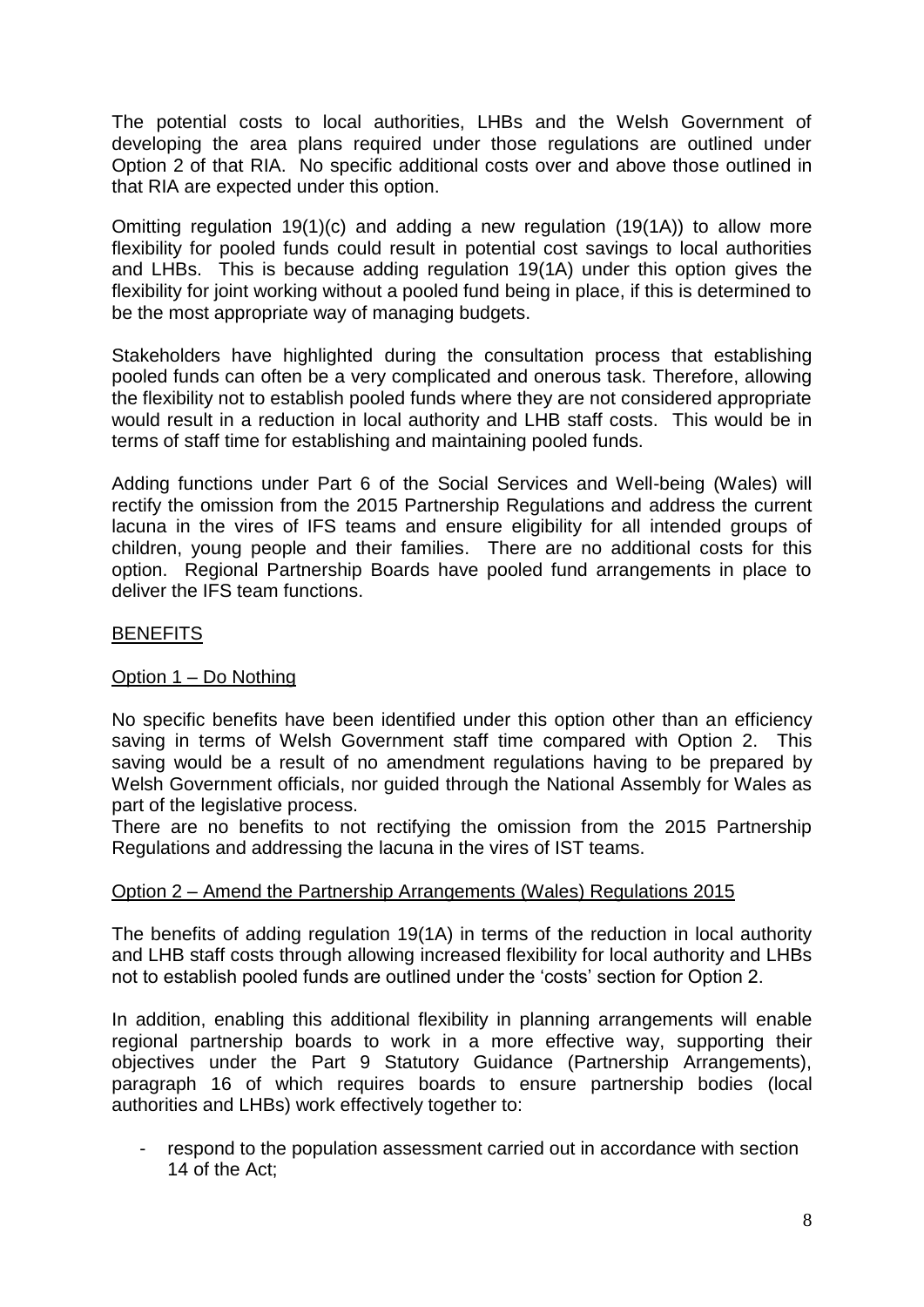The potential costs to local authorities, LHBs and the Welsh Government of developing the area plans required under those regulations are outlined under Option 2 of that RIA. No specific additional costs over and above those outlined in that RIA are expected under this option.

Omitting regulation 19(1)(c) and adding a new regulation (19(1A)) to allow more flexibility for pooled funds could result in potential cost savings to local authorities and LHBs. This is because adding regulation 19(1A) under this option gives the flexibility for joint working without a pooled fund being in place, if this is determined to be the most appropriate way of managing budgets.

Stakeholders have highlighted during the consultation process that establishing pooled funds can often be a very complicated and onerous task. Therefore, allowing the flexibility not to establish pooled funds where they are not considered appropriate would result in a reduction in local authority and LHB staff costs. This would be in terms of staff time for establishing and maintaining pooled funds.

Adding functions under Part 6 of the Social Services and Well-being (Wales) will rectify the omission from the 2015 Partnership Regulations and address the current lacuna in the vires of IFS teams and ensure eligibility for all intended groups of children, young people and their families. There are no additional costs for this option. Regional Partnership Boards have pooled fund arrangements in place to deliver the IFS team functions.

# BENEFITS

# Option 1 – Do Nothing

No specific benefits have been identified under this option other than an efficiency saving in terms of Welsh Government staff time compared with Option 2. This saving would be a result of no amendment regulations having to be prepared by Welsh Government officials, nor guided through the National Assembly for Wales as part of the legislative process.

There are no benefits to not rectifying the omission from the 2015 Partnership Regulations and addressing the lacuna in the vires of IST teams.

# Option 2 – Amend the Partnership Arrangements (Wales) Regulations 2015

The benefits of adding regulation 19(1A) in terms of the reduction in local authority and LHB staff costs through allowing increased flexibility for local authority and LHBs not to establish pooled funds are outlined under the 'costs' section for Option 2.

In addition, enabling this additional flexibility in planning arrangements will enable regional partnership boards to work in a more effective way, supporting their objectives under the Part 9 Statutory Guidance (Partnership Arrangements), paragraph 16 of which requires boards to ensure partnership bodies (local authorities and LHBs) work effectively together to:

respond to the population assessment carried out in accordance with section 14 of the Act;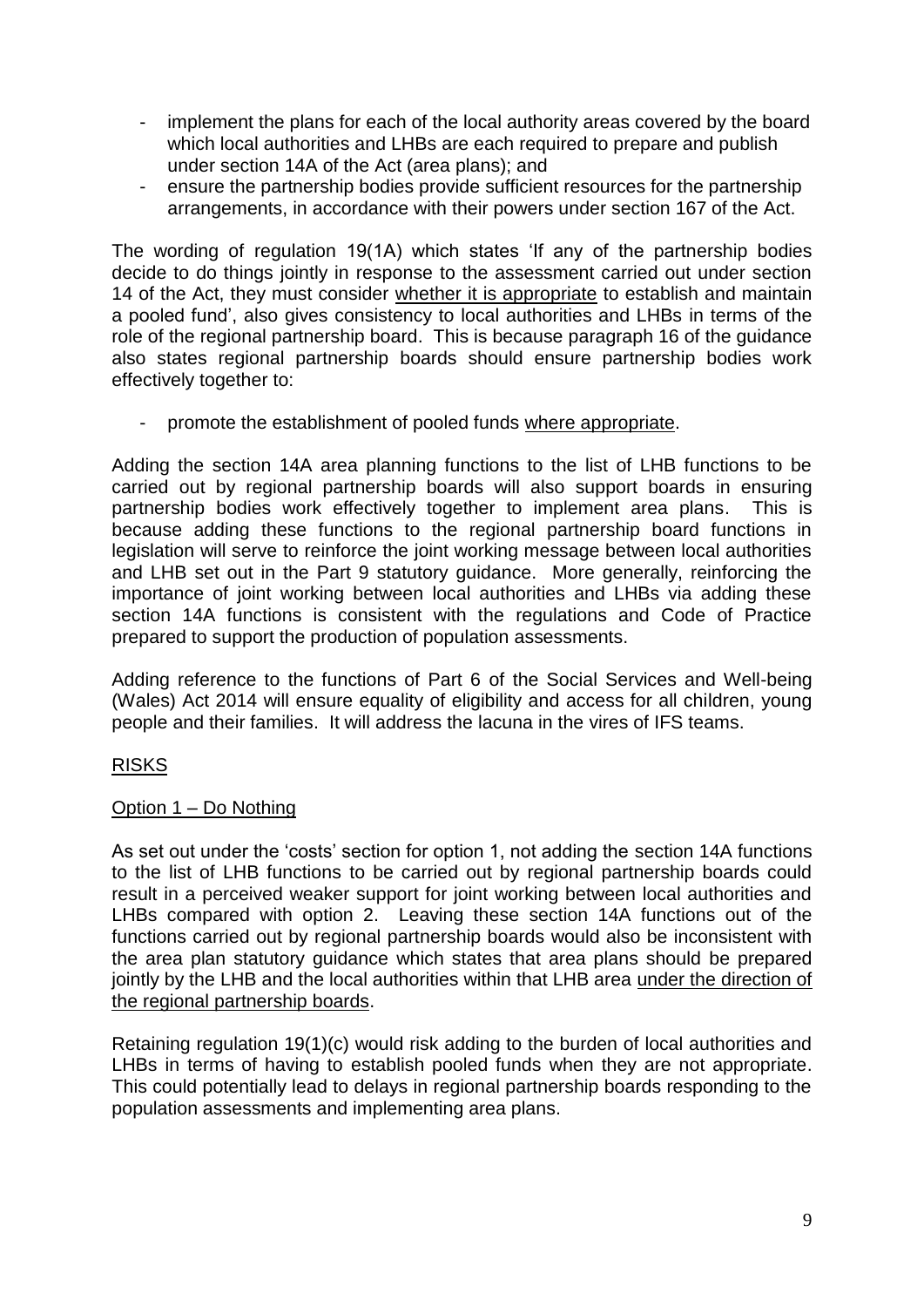- implement the plans for each of the local authority areas covered by the board which local authorities and LHBs are each required to prepare and publish under section 14A of the Act (area plans); and
- ensure the partnership bodies provide sufficient resources for the partnership arrangements, in accordance with their powers under section 167 of the Act.

The wording of regulation 19(1A) which states 'If any of the partnership bodies decide to do things jointly in response to the assessment carried out under section 14 of the Act, they must consider whether it is appropriate to establish and maintain a pooled fund', also gives consistency to local authorities and LHBs in terms of the role of the regional partnership board. This is because paragraph 16 of the guidance also states regional partnership boards should ensure partnership bodies work effectively together to:

- promote the establishment of pooled funds where appropriate.

Adding the section 14A area planning functions to the list of LHB functions to be carried out by regional partnership boards will also support boards in ensuring partnership bodies work effectively together to implement area plans. This is because adding these functions to the regional partnership board functions in legislation will serve to reinforce the joint working message between local authorities and LHB set out in the Part 9 statutory guidance. More generally, reinforcing the importance of joint working between local authorities and LHBs via adding these section 14A functions is consistent with the regulations and Code of Practice prepared to support the production of population assessments.

Adding reference to the functions of Part 6 of the Social Services and Well-being (Wales) Act 2014 will ensure equality of eligibility and access for all children, young people and their families. It will address the lacuna in the vires of IFS teams.

# RISKS

# Option 1 – Do Nothing

As set out under the 'costs' section for option 1, not adding the section 14A functions to the list of LHB functions to be carried out by regional partnership boards could result in a perceived weaker support for joint working between local authorities and LHBs compared with option 2. Leaving these section 14A functions out of the functions carried out by regional partnership boards would also be inconsistent with the area plan statutory guidance which states that area plans should be prepared jointly by the LHB and the local authorities within that LHB area under the direction of the regional partnership boards.

Retaining regulation 19(1)(c) would risk adding to the burden of local authorities and LHBs in terms of having to establish pooled funds when they are not appropriate. This could potentially lead to delays in regional partnership boards responding to the population assessments and implementing area plans.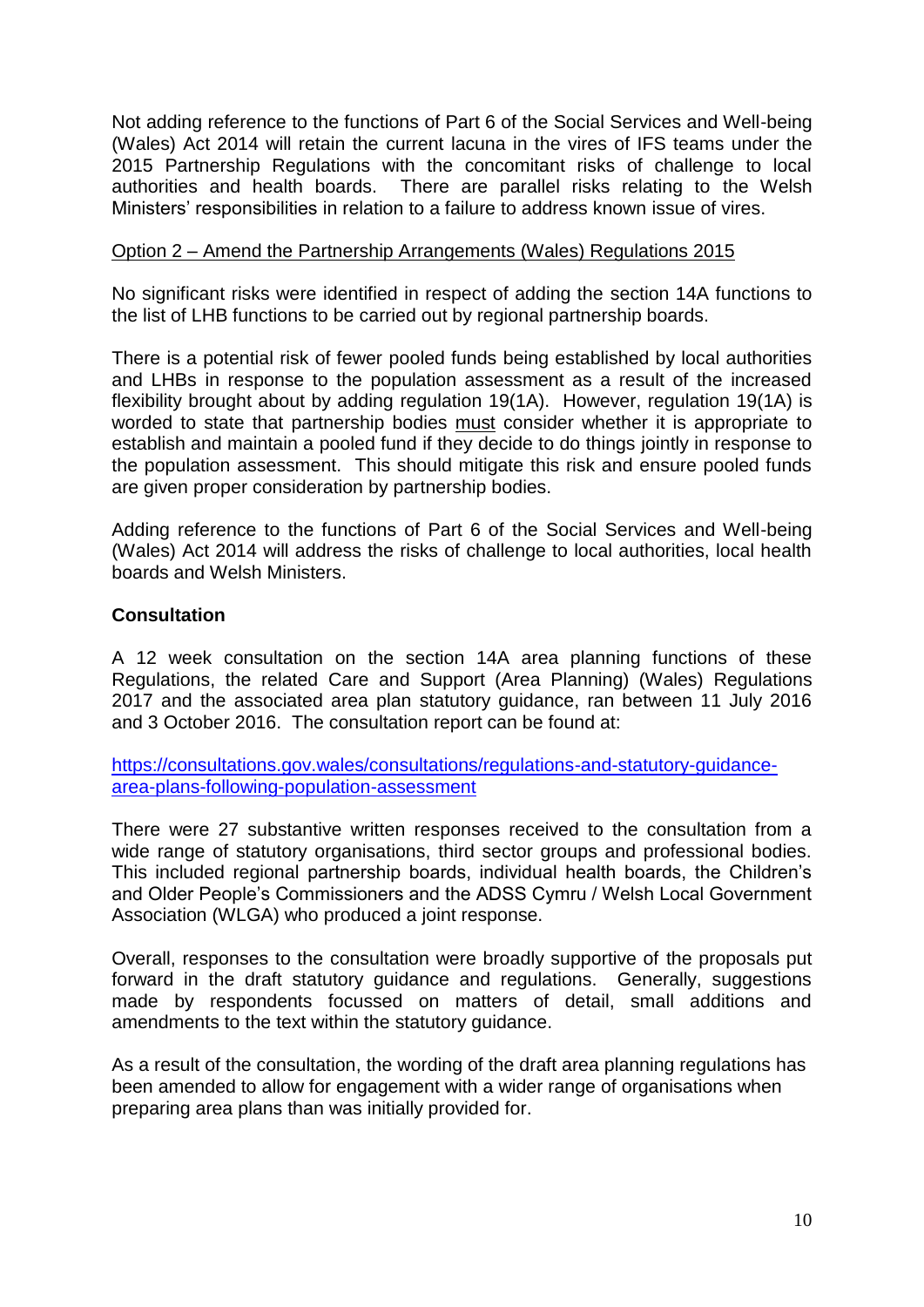Not adding reference to the functions of Part 6 of the Social Services and Well-being (Wales) Act 2014 will retain the current lacuna in the vires of IFS teams under the 2015 Partnership Regulations with the concomitant risks of challenge to local authorities and health boards. There are parallel risks relating to the Welsh Ministers' responsibilities in relation to a failure to address known issue of vires.

# Option 2 – Amend the Partnership Arrangements (Wales) Regulations 2015

No significant risks were identified in respect of adding the section 14A functions to the list of LHB functions to be carried out by regional partnership boards.

There is a potential risk of fewer pooled funds being established by local authorities and LHBs in response to the population assessment as a result of the increased flexibility brought about by adding regulation 19(1A). However, regulation 19(1A) is worded to state that partnership bodies must consider whether it is appropriate to establish and maintain a pooled fund if they decide to do things jointly in response to the population assessment. This should mitigate this risk and ensure pooled funds are given proper consideration by partnership bodies.

Adding reference to the functions of Part 6 of the Social Services and Well-being (Wales) Act 2014 will address the risks of challenge to local authorities, local health boards and Welsh Ministers.

# **Consultation**

A 12 week consultation on the section 14A area planning functions of these Regulations, the related Care and Support (Area Planning) (Wales) Regulations 2017 and the associated area plan statutory guidance, ran between 11 July 2016 and 3 October 2016. The consultation report can be found at:

[https://consultations.gov.wales/consultations/regulations-and-statutory-guidance](https://consultations.gov.wales/consultations/regulations-and-statutory-guidance-area-plans-following-population-assessment)[area-plans-following-population-assessment](https://consultations.gov.wales/consultations/regulations-and-statutory-guidance-area-plans-following-population-assessment)

There were 27 substantive written responses received to the consultation from a wide range of statutory organisations, third sector groups and professional bodies. This included regional partnership boards, individual health boards, the Children's and Older People's Commissioners and the ADSS Cymru / Welsh Local Government Association (WLGA) who produced a joint response.

Overall, responses to the consultation were broadly supportive of the proposals put forward in the draft statutory guidance and regulations. Generally, suggestions made by respondents focussed on matters of detail, small additions and amendments to the text within the statutory guidance.

As a result of the consultation, the wording of the draft area planning regulations has been amended to allow for engagement with a wider range of organisations when preparing area plans than was initially provided for.